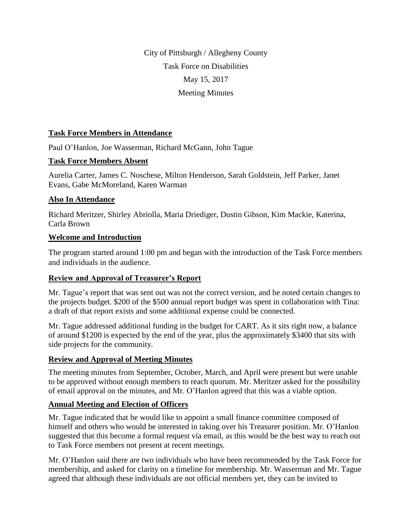City of Pittsburgh / Allegheny County Task Force on Disabilities May 15, 2017 Meeting Minutes

## **Task Force Members in Attendance**

Paul O'Hanlon, Joe Wasserman, Richard McGann, John Tague

### **Task Force Members Absent**

Aurelia Carter, James C. Noschese, Milton Henderson, Sarah Goldstein, Jeff Parker, Janet Evans, Gabe McMoreland, Karen Warman

### **Also In Attendance**

Richard Meritzer, Shirley Abriolla, Maria Driediger, Dustin Gibson, Kim Mackie, Katerina, Carla Brown

### **Welcome and Introduction**

The program started around 1:00 pm and began with the introduction of the Task Force members and individuals in the audience.

#### **Review and Approval of Treasurer's Report**

Mr. Tague's report that was sent out was not the correct version, and he noted certain changes to the projects budget. \$200 of the \$500 annual report budget was spent in collaboration with Tina: a draft of that report exists and some additional expense could be connected.

Mr. Tague addressed additional funding in the budget for CART. As it sits right now, a balance of around \$1200 is expected by the end of the year, plus the approximately \$3400 that sits with side projects for the community.

#### **Review and Approval of Meeting Minutes**

The meeting minutes from September, October, March, and April were present but were unable to be approved without enough members to reach quorum. Mr. Meritzer asked for the possibility of email approval on the minutes, and Mr. O'Hanlon agreed that this was a viable option.

## **Annual Meeting and Election of Officers**

Mr. Tague indicated that he would like to appoint a small finance committee composed of himself and others who would be interested in taking over his Treasurer position. Mr. O'Hanlon suggested that this become a formal request via email, as this would be the best way to reach out to Task Force members not present at recent meetings.

Mr. O'Hanlon said there are two individuals who have been recommended by the Task Force for membership, and asked for clarity on a timeline for membership. Mr. Wasserman and Mr. Tague agreed that although these individuals are not official members yet, they can be invited to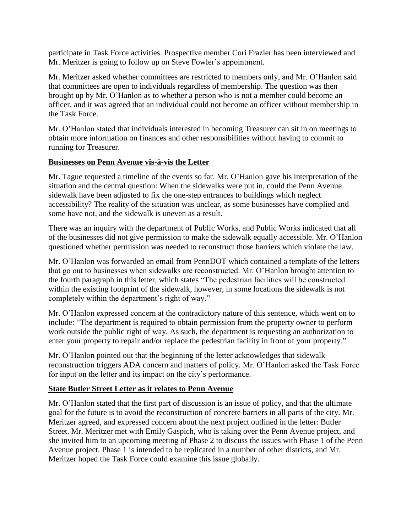participate in Task Force activities. Prospective member Cori Frazier has been interviewed and Mr. Meritzer is going to follow up on Steve Fowler's appointment.

Mr. Meritzer asked whether committees are restricted to members only, and Mr. O'Hanlon said that committees are open to individuals regardless of membership. The question was then brought up by Mr. O'Hanlon as to whether a person who is not a member could become an officer, and it was agreed that an individual could not become an officer without membership in the Task Force.

Mr. O'Hanlon stated that individuals interested in becoming Treasurer can sit in on meetings to obtain more information on finances and other responsibilities without having to commit to running for Treasurer.

### **Businesses on Penn Avenue vis-à-vis the Letter**

Mr. Tague requested a timeline of the events so far. Mr. O'Hanlon gave his interpretation of the situation and the central question: When the sidewalks were put in, could the Penn Avenue sidewalk have been adjusted to fix the one-step entrances to buildings which neglect accessibility? The reality of the situation was unclear, as some businesses have complied and some have not, and the sidewalk is uneven as a result.

There was an inquiry with the department of Public Works, and Public Works indicated that all of the businesses did not give permission to make the sidewalk equally accessible. Mr. O'Hanlon questioned whether permission was needed to reconstruct those barriers which violate the law.

Mr. O'Hanlon was forwarded an email from PennDOT which contained a template of the letters that go out to businesses when sidewalks are reconstructed. Mr. O'Hanlon brought attention to the fourth paragraph in this letter, which states "The pedestrian facilities will be constructed within the existing footprint of the sidewalk, however, in some locations the sidewalk is not completely within the department's right of way."

Mr. O'Hanlon expressed concern at the contradictory nature of this sentence, which went on to include: "The department is required to obtain permission from the property owner to perform work outside the public right of way. As such, the department is requesting an authorization to enter your property to repair and/or replace the pedestrian facility in front of your property."

Mr. O'Hanlon pointed out that the beginning of the letter acknowledges that sidewalk reconstruction triggers ADA concern and matters of policy. Mr. O'Hanlon asked the Task Force for input on the letter and its impact on the city's performance.

## **State Butler Street Letter as it relates to Penn Avenue**

Mr. O'Hanlon stated that the first part of discussion is an issue of policy, and that the ultimate goal for the future is to avoid the reconstruction of concrete barriers in all parts of the city. Mr. Meritzer agreed, and expressed concern about the next project outlined in the letter: Butler Street. Mr. Meritzer met with Emily Gaspich, who is taking over the Penn Avenue project, and she invited him to an upcoming meeting of Phase 2 to discuss the issues with Phase 1 of the Penn Avenue project. Phase 1 is intended to be replicated in a number of other districts, and Mr. Meritzer hoped the Task Force could examine this issue globally.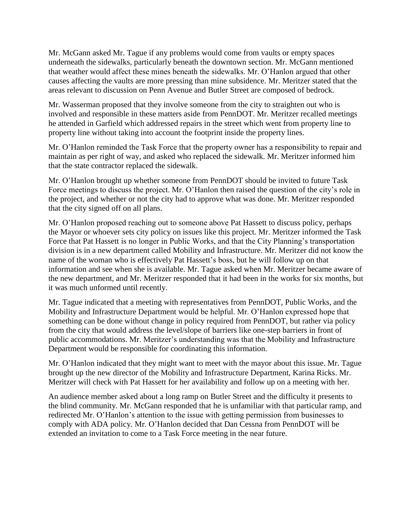Mr. McGann asked Mr. Tague if any problems would come from vaults or empty spaces underneath the sidewalks, particularly beneath the downtown section. Mr. McGann mentioned that weather would affect these mines beneath the sidewalks. Mr. O'Hanlon argued that other causes affecting the vaults are more pressing than mine subsidence. Mr. Meritzer stated that the areas relevant to discussion on Penn Avenue and Butler Street are composed of bedrock.

Mr. Wasserman proposed that they involve someone from the city to straighten out who is involved and responsible in these matters aside from PennDOT. Mr. Meritzer recalled meetings he attended in Garfield which addressed repairs in the street which went from property line to property line without taking into account the footprint inside the property lines.

Mr. O'Hanlon reminded the Task Force that the property owner has a responsibility to repair and maintain as per right of way, and asked who replaced the sidewalk. Mr. Meritzer informed him that the state contractor replaced the sidewalk.

Mr. O'Hanlon brought up whether someone from PennDOT should be invited to future Task Force meetings to discuss the project. Mr. O'Hanlon then raised the question of the city's role in the project, and whether or not the city had to approve what was done. Mr. Meritzer responded that the city signed off on all plans.

Mr. O'Hanlon proposed reaching out to someone above Pat Hassett to discuss policy, perhaps the Mayor or whoever sets city policy on issues like this project. Mr. Meritzer informed the Task Force that Pat Hassett is no longer in Public Works, and that the City Planning's transportation division is in a new department called Mobility and Infrastructure. Mr. Meritzer did not know the name of the woman who is effectively Pat Hassett's boss, but he will follow up on that information and see when she is available. Mr. Tague asked when Mr. Meritzer became aware of the new department, and Mr. Meritzer responded that it had been in the works for six months, but it was much unformed until recently.

Mr. Tague indicated that a meeting with representatives from PennDOT, Public Works, and the Mobility and Infrastructure Department would be helpful. Mr. O'Hanlon expressed hope that something can be done without change in policy required from PennDOT, but rather via policy from the city that would address the level/slope of barriers like one-step barriers in front of public accommodations. Mr. Meritzer's understanding was that the Mobility and Infrastructure Department would be responsible for coordinating this information.

Mr. O'Hanlon indicated that they might want to meet with the mayor about this issue. Mr. Tague brought up the new director of the Mobility and Infrastructure Department, Karina Ricks. Mr. Meritzer will check with Pat Hassett for her availability and follow up on a meeting with her.

An audience member asked about a long ramp on Butler Street and the difficulty it presents to the blind community. Mr. McGann responded that he is unfamiliar with that particular ramp, and redirected Mr. O'Hanlon's attention to the issue with getting permission from businesses to comply with ADA policy. Mr. O'Hanlon decided that Dan Cessna from PennDOT will be extended an invitation to come to a Task Force meeting in the near future.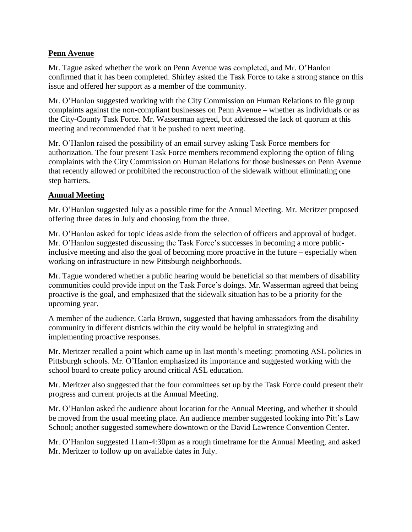### **Penn Avenue**

Mr. Tague asked whether the work on Penn Avenue was completed, and Mr. O'Hanlon confirmed that it has been completed. Shirley asked the Task Force to take a strong stance on this issue and offered her support as a member of the community.

Mr. O'Hanlon suggested working with the City Commission on Human Relations to file group complaints against the non-compliant businesses on Penn Avenue – whether as individuals or as the City-County Task Force. Mr. Wasserman agreed, but addressed the lack of quorum at this meeting and recommended that it be pushed to next meeting.

Mr. O'Hanlon raised the possibility of an email survey asking Task Force members for authorization. The four present Task Force members recommend exploring the option of filing complaints with the City Commission on Human Relations for those businesses on Penn Avenue that recently allowed or prohibited the reconstruction of the sidewalk without eliminating one step barriers.

# **Annual Meeting**

Mr. O'Hanlon suggested July as a possible time for the Annual Meeting. Mr. Meritzer proposed offering three dates in July and choosing from the three.

Mr. O'Hanlon asked for topic ideas aside from the selection of officers and approval of budget. Mr. O'Hanlon suggested discussing the Task Force's successes in becoming a more publicinclusive meeting and also the goal of becoming more proactive in the future – especially when working on infrastructure in new Pittsburgh neighborhoods.

Mr. Tague wondered whether a public hearing would be beneficial so that members of disability communities could provide input on the Task Force's doings. Mr. Wasserman agreed that being proactive is the goal, and emphasized that the sidewalk situation has to be a priority for the upcoming year.

A member of the audience, Carla Brown, suggested that having ambassadors from the disability community in different districts within the city would be helpful in strategizing and implementing proactive responses.

Mr. Meritzer recalled a point which came up in last month's meeting: promoting ASL policies in Pittsburgh schools. Mr. O'Hanlon emphasized its importance and suggested working with the school board to create policy around critical ASL education.

Mr. Meritzer also suggested that the four committees set up by the Task Force could present their progress and current projects at the Annual Meeting.

Mr. O'Hanlon asked the audience about location for the Annual Meeting, and whether it should be moved from the usual meeting place. An audience member suggested looking into Pitt's Law School; another suggested somewhere downtown or the David Lawrence Convention Center.

Mr. O'Hanlon suggested 11am-4:30pm as a rough timeframe for the Annual Meeting, and asked Mr. Meritzer to follow up on available dates in July.